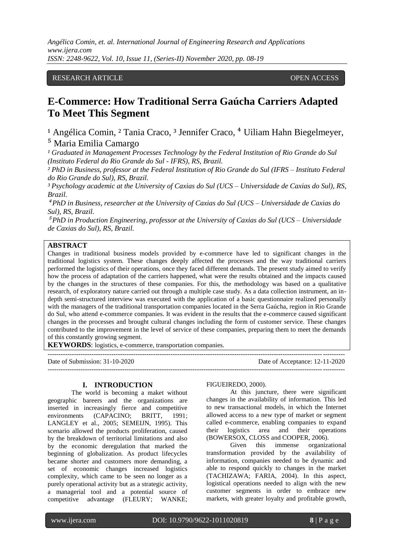*Angélica Comin, et. al. International Journal of Engineering Research and Applications www.ijera.com ISSN: 2248-9622, Vol. 10, Issue 11, (Series-II) November 2020, pp. 08-19*

### RESEARCH ARTICLE **CONSERVERS** OPEN ACCESS

# **E-Commerce: How Traditional Serra Gaúcha Carriers Adapted To Meet This Segment**

<sup>1</sup> Angélica Comin, <sup>2</sup> Tania Craco, <sup>3</sup> Jennifer Craco, <sup>4</sup> Uiliam Hahn Biegelmeyer, ⁵ Maria Emilia Camargo

<sup>1</sup> Graduated in Management Processes Technology by the Federal Institution of Rio Grande do Sul *(Instituto Federal do Rio Grande do Sul - IFRS), RS, Brazil.*

*² PhD in Business, professor at the Federal Institution of Rio Grande do Sul (IFRS – Instituto Federal do Rio Grande do Sul), RS, Brazil.*

*³ Psychology academic at the University of Caxias do Sul (UCS – Universidade de Caxias do Sul), RS, Brazil.*

⁴ *PhD in Business, researcher at the University of Caxias do Sul (UCS – Universidade de Caxias do Sul), RS, Brazil.* 

⁵ *PhD in Production Engineering, professor at the University of Caxias do Sul (UCS – Universidade de Caxias do Sul), RS, Brazil.* 

#### **ABSTRACT**

Changes in traditional business models provided by e-commerce have led to significant changes in the traditional logistics system. These changes deeply affected the processes and the way traditional carriers performed the logistics of their operations, once they faced different demands. The present study aimed to verify how the process of adaptation of the carriers happened, what were the results obtained and the impacts caused by the changes in the structures of these companies. For this, the methodology was based on a qualitative research, of exploratory nature carried out through a multiple case study. As a data collection instrument, an indepth semi-structured interview was executed with the application of a basic questionnaire realized personally with the managers of the traditional transportation companies located in the Serra Gaúcha, region in Rio Grande do Sul, who attend e-commerce companies. It was evident in the results that the e-commerce caused significant changes in the processes and brought cultural changes including the form of customer service. These changes contributed to the improvement in the level of service of these companies, preparing them to meet the demands of this constantly growing segment.

---------------------------------------------------------------------------------------------------------------------------------------

**KEYWORDS**: logistics, e-commerce, transportation companies.

---------------------------------------------------------------------------------------------------------------------------------------

Date of Submission: 31-10-2020 Date of Acceptance: 12-11-2020

#### **I. INTRODUCTION**

The world is becoming a maket without geographic bareers and the organizations are inserted in increasingly fierce and competitive environments (CAPACINO; BRITT, 1991; LANGLEY et al., 2005; SEMEIJN, 1995). This scenario allowed the products proliferation, caused by the breakdown of territorial limitations and also by the economic deregulation that marked the beginning of globalization. As product lifecycles became shorter and customers more demanding, a set of economic changes increased logistics complexity, which came to be seen no longer as a purely operational activity but as a strategic activity, a managerial tool and a potential source of competitive advantage (FLEURY; WANKE;

#### FIGUEIREDO, 2000).

At this juncture, there were significant changes in the availability of information. This led to new transactional models, in which the Internet allowed access to a new type of market or segment called e-commerce, enabling companies to expand their logistics area and their operations (BOWERSOX, CLOSS and COOPER, 2006).

Given this immense organizational transformation provided by the availability of information, companies needed to be dynamic and able to respond quickly to changes in the market (TACHIZAWA; FARIA, 2004). In this aspect, logistical operations needed to align with the new customer segments in order to embrace new markets, with greater loyalty and profitable growth,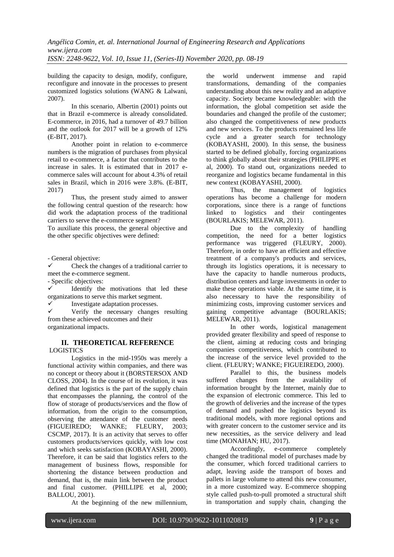building the capacity to design, modify, configure, reconfigure and innovate in the processes to present customized logistics solutions (WANG & Lalwani, 2007).

In this scenario, Albertin (2001) points out that in Brazil e-commerce is already consolidated. E-commerce, in 2016, had a turnover of 49.7 billion and the outlook for 2017 will be a growth of 12% (E-BIT, 2017).

Another point in relation to e-commerce numbers is the migration of purchases from physical retail to e-commerce, a factor that contributes to the increase in sales. It is estimated that in 2017 ecommerce sales will account for about 4.3% of retail sales in Brazil, which in 2016 were 3.8%. (E-BIT, 2017)

Thus, the present study aimed to answer the following central question of the research: how did work the adaptation process of the traditional carriers to serve the e-commerce segment?

To auxiliate this process, the general objective and the other specific objectives were defined:

- General objective:

 Check the changes of a traditional carrier to meet the e-commerce segment.

- Specific objectives:

 Identify the motivations that led these organizations to serve this market segment.

Investigate adaptation processes.

 $\checkmark$  Verify the necessary changes resulting from these achieved outcomes and their organizational impacts.

#### **II. THEORETICAL REFERENCE** LOGISTICS

Logistics in the mid-1950s was merely a functional activity within companies, and there was no concept or theory about it (BORSTERSOX AND CLOSS, 2004). In the course of its evolution, it was defined that logistics is the part of the supply chain that encompasses the planning, the control of the flow of storage of products/services and the flow of information, from the origin to the consumption, observing the attendance of the customer needs (FIGUEIREDO; WANKE; FLEURY, 2003; CSCMP, 2017). It is an activity that serves to offer customers products/services quickly, with low cost and which seeks satisfaction (KOBAYASHI, 2000). Therefore, it can be said that logistics refers to the management of business flows, responsible for shortening the distance between production and demand, that is, the main link between the product and final customer. (PHILLIPE et al, 2000; BALLOU, 2001).

At the beginning of the new millennium,

the world underwent immense and rapid transformations, demanding of the companies understanding about this new reality and an adaptive capacity. Society became knowledgeable: with the information, the global competition set aside the boundaries and changed the profile of the customer; also changed the competitiveness of new products and new services. To the products remained less life cycle and a greater search for technology (KOBAYASHI, 2000). In this sense, the business started to be defined globally, forcing organizations to think globally about their strategies (PHILIPPE et al, 2000). To stand out, organizations needed to reorganize and logistics became fundamental in this new context (KOBAYASHI, 2000).

Thus, the management of logistics operations has become a challenge for modern corporations, since there is a range of functions linked to logistics and their contingentes (BOURLAKIS; MELEWAR, 2011).

Due to the complexity of handling competition, the need for a better logistics performance was triggered (FLEURY, 2000). Therefore, in order to have an efficient and effective treatment of a company's products and services, through its logistics operations, it is necessary to have the capacity to handle numerous products, distribution centers and large investments in order to make these operations viable. At the same time, it is also necessary to have the responsibility of minimizing costs, improving customer services and gaining competitive advantage (BOURLAKIS; MELEWAR, 2011).

In other words, logistical management provided greater flexibility and speed of response to the client, aiming at reducing costs and bringing companies competitiveness, which contributed to the increase of the service level provided to the client. (FLEURY; WANKE; FIGUEIREDO, 2000).

Parallel to this, the business models suffered changes from the availability of information brought by the Internet, mainly due to the expansion of electronic commerce. This led to the growth of deliveries and the increase of the types of demand and pushed the logistics beyond its traditional models, with more regional options and with greater concern to the customer service and its new necessities, as the service delivery and lead time (MONAHAN; HU, 2017).

Accordingly, e-commerce completely changed the traditional model of purchases made by the consumer, which forced traditional carriers to adapt, leaving aside the transport of boxes and pallets in large volume to attend this new consumer, in a more customized way. E-commerce shopping style called push-to-pull promoted a structural shift in transportation and supply chain, changing the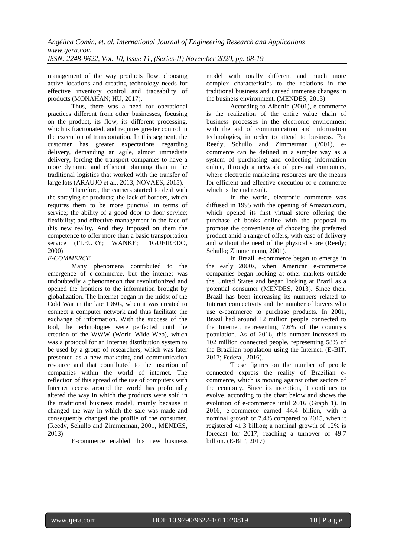management of the way products flow, choosing active locations and creating technology needs for effective inventory control and traceability of products (MONAHAN; HU, 2017).

Thus, there was a need for operational practices different from other businesses, focusing on the product, its flow, its different processing, which is fractionated, and requires greater control in the execution of transportation. In this segment, the customer has greater expectations regarding delivery, demanding an agile, almost immediate delivery, forcing the transport companies to have a more dynamic and efficient planning than in the traditional logistics that worked with the transfer of large lots (ARAUJO et al., 2013, NOVAES, 2015).

Therefore, the carriers started to deal with the spraying of products; the lack of borders, which requires them to be more punctual in terms of service; the ability of a good door to door service; flexibility; and effective management in the face of this new reality. And they imposed on them the competence to offer more than a basic transportation service (FLEURY: WANKE: FIGUEIREDO, 2000).

#### *E-COMMERCE*

Many phenomena contributed to the emergence of e-commerce, but the internet was undoubtedly a phenomenon that revolutionized and opened the frontiers to the information brought by globalization. The Internet began in the midst of the Cold War in the late 1960s, when it was created to connect a computer network and thus facilitate the exchange of information. With the success of the tool, the technologies were perfected until the creation of the WWW (World Wide Web), which was a protocol for an Internet distribution system to be used by a group of researchers, which was later presented as a new marketing and communication resource and that contributed to the insertion of companies within the world of internet. The reflection of this spread of the use of computers with Internet access around the world has profoundly altered the way in which the products were sold in the traditional business model, mainly because it changed the way in which the sale was made and consequently changed the profile of the consumer. (Reedy, Schullo and Zimmerman, 2001, MENDES, 2013)

E-commerce enabled this new business

model with totally different and much more complex characteristics to the relations in the traditional business and caused immense changes in the business environment. (MENDES, 2013)

According to Albertin (2001), e-commerce is the realization of the entire value chain of business processes in the electronic environment with the aid of communication and information technologies, in order to attend to business. For Reedy, Schullo and Zimmerman (2001), ecommerce can be defined in a simpler way as a system of purchasing and collecting information online, through a network of personal computers, where electronic marketing resources are the means for efficient and effective execution of e-commerce which is the end result.

In the world, electronic commerce was diffused in 1995 with the opening of Amazon.com, which opened its first virtual store offering the purchase of books online with the proposal to promote the convenience of choosing the preferred product amid a range of offers, with ease of delivery and without the need of the physical store (Reedy; Schullo; Zimmermann, 2001).

In Brazil, e-commerce began to emerge in the early 2000s, when American e-commerce companies began looking at other markets outside the United States and began looking at Brazil as a potential consumer (MENDES, 2013). Since then, Brazil has been increasing its numbers related to Internet connectivity and the number of buyers who use e-commerce to purchase products. In 2001, Brazil had around 12 million people connected to the Internet, representing 7.6% of the country's population. As of 2016, this number increased to 102 million connected people, representing 58% of the Brazilian population using the Internet. (E-BIT, 2017; Federal, 2016).

These figures on the number of people connected express the reality of Brazilian ecommerce, which is moving against other sectors of the economy. Since its inception, it continues to evolve, according to the chart below and shows the evolution of e-commerce until 2016 (Graph 1). In 2016, e-commerce earned 44.4 billion, with a nominal growth of 7.4% compared to 2015, when it registered 41.3 billion; a nominal growth of 12% is forecast for 2017, reaching a turnover of 49.7 billion. (E-BIT, 2017)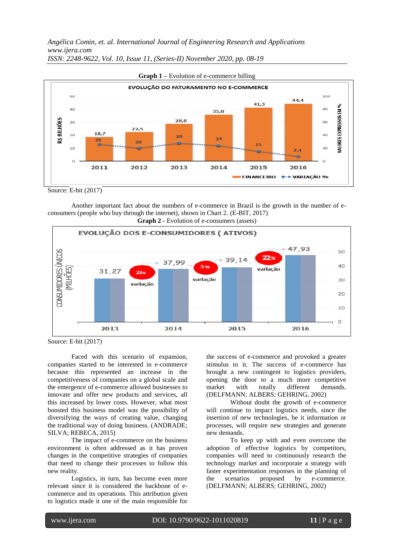*Angélica Comin, et. al. International Journal of Engineering Research and Applications www.ijera.com ISSN: 2248-9622, Vol. 10, Issue 11, (Series-II) November 2020, pp. 08-19*



Source: E-bit (2017)

Another important fact about the numbers of e-commerce in Brazil is the growth in the number of econsumers (people who buy through the internet), shown in Chart 2. (E-BIT, 2017)



Source: E-bit (2017)

Faced with this scenario of expansion, companies started to be interested in e-commerce because this represented an increase in the competitiveness of companies on a global scale and the emergence of e-commerce allowed businesses to innovate and offer new products and services, all this increased by lower costs. However, what most boosted this business model was the possibility of diversifying the ways of creating value, changing the traditional way of doing business. (ANDRADE; SILVA; REBECA, 2015)

The impact of e-commerce on the business environment is often addressed as it has proven changes in the competitive strategies of companies that need to change their processes to follow this new reality.

Logistics, in turn, has become even more relevant since it is considered the backbone of ecommerce and its operations. This attribution given to logistics made it one of the main responsible for

the success of e-commerce and provoked a greater stimulus to it. The success of e-commerce has brought a new contingent to logistics providers, opening the door to a much more competitive market with totally different demands. (DELFMANN; ALBERS; GEHRING, 2002)

Without doubt the growth of e-commerce will continue to impact logistics needs, since the insertion of new technologies, be it information or processes, will require new strategies and generate new demands.

To keep up with and even overcome the adoption of effective logistics by competitors, companies will need to continuously research the technology market and incorporate a strategy with faster experimentation responses in the planning of the scenarios proposed by e-commerce. (DELFMANN; ALBERS; GEHRING, 2002)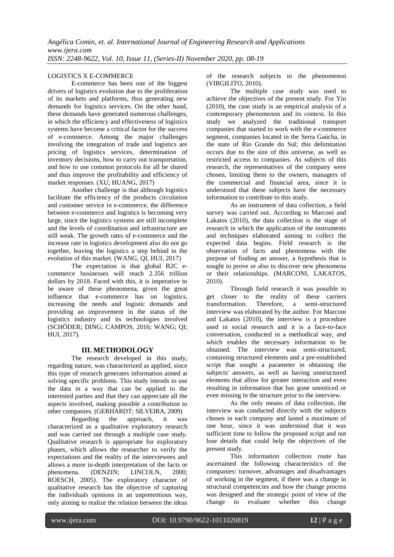#### LOGISTICS X E-COMMERCE

E-commerce has been one of the biggest drivers of logistics evolution due to the proliferation of its markets and platforms, thus generating new demands for logistics services. On the other hand, these demands have generated numerous challenges, in which the efficiency and effectiveness of logistics systems have become a critical factor for the success of e-commerce. Among the major challenges involving the integration of trade and logistics are pricing of logistics services, determination of inventory decisions, how to carry out transportation, and how to use common protocols for all be shared and thus improve the profitability and efficiency of market responses. (XU; HUANG, 2017)

Another challenge is that although logistics facilitate the efficiency of the products circulation and customer service in e-commerce, the difference between e-commerce and logistics is becoming very large, since the logistics systems are still incomplete and the levels of coordination and infrastructure are still weak. The growth rates of e-commerce and the increase rate in logistics development also do not go together, leaving the logistics a step behind in the evolution of this market. (WANG, QI, HUI, 2017)

The expectation is that global B2C ecommerce businesses will reach 2.356 trillion dollars by 2018. Faced with this, it is imperative to be aware of these phenomena, given the great influence that e-commerce has on logistics, increasing the needs and logistic demands and providing an improvement in the status of the logistics industry and its technologies involved (SCHÖDER; DING; CAMPOS, 2016; WANG; QI; HUI, 2017).

#### **III. METHODOLOGY**

The research developed in this study, regarding nature, was characterized as applied, since this type of research generates information aimed at solving specific problems. This study intends to use the data in a way that can be applied to the interested parties and that they can appreciate all the aspects involved, making possible a contribution to other companies. (GERHARDT; SILVEIRA, 2009)

Regarding the approach, it was characterized as a qualitative exploratory research and was carried out through a multiple case study. Qualitative research is appropriate for exploratory phases, which allows the researcher to verify the expectations and the reality of the interviewees and allows a more in-depth interpretation of the facts or phenomena. (DENZIN; LINCOLN, 2000; ROESCH, 2005). The exploratory character of qualitative research has the objective of capturing the individuals opinions in an unpretentious way, only aiming to realize the relation between the ideas

of the research subjects to the phenomenon (VIRGILITO, 2010).

The multiple case study was used to achieve the objectives of the present study. For Yin (2010), the case study is an empirical analysis of a contemporary phenomenon and its context. In this study we analyzed the traditional transport companies that started to work with the e-commerce segment, companies located in the Serra Gaúcha, in the state of Rio Grande do Sul; this delimitation occurs due to the size of this universe, as well as restricted access to companies. As subjects of this research, the representatives of the company were chosen, limiting them to the owners, managers of the commercial and financial area, since it is understood that these subjects have the necessary information to contribute to this study.

As an instrument of data collection, a field survey was carried out. According to Marconi and Lakatos (2010), the data collection is the stage of research in which the application of the instruments and techniques elaborated aiming to collect the expected data begins. Field research is the observation of facts and phenomena with the purpose of finding an answer, a hypothesis that is sought to prove or also to discover new phenomena or their relationships. (MARCONI, LAKATOS, 2010).

Through field research it was possible to get closer to the reality of these carriers transformation. Therefore, a semi-structured interview was elaborated by the author. For Marconi and Lakatos (2010), the interview is a procedure used in social research and it is a face-to-face conversation, conducted in a methodical way, and which enables the necessary information to be obtained. The interview was semi-structured, containing structured elements and a pre-established script that sought a parameter in obtaining the subjects' answers, as well as having unstructured elements that allow for greater interaction and even resulting in information that has gone unnoticed or even missing in the structure prior to the interview.

As the only means of data collection, the interview was conducted directly with the subjects chosen in each company and lasted a maximum of one hour, since it was understood that it was sufficient time to follow the proposed script and not lose details that could help the objectives of the present study.

This information collection route has ascertained the following characteristics of the companies: turnover, advantages and disadvantages of working in the segment, if there was a change in structural competencies and how the change process was designed and the strategic point of view of the change to evaluate whether this change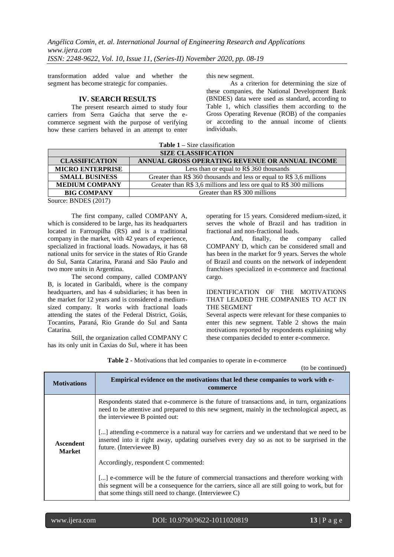transformation added value and whether the segment has become strategic for companies.

#### **IV. SEARCH RESULTS**

The present research aimed to study four carriers from Serra Gaúcha that serve the ecommerce segment with the purpose of verifying how these carriers behaved in an attempt to enter

this new segment.

As a criterion for determining the size of these companies, the National Development Bank (BNDES) data were used as standard, according to Table 1, which classifies them according to the Gross Operating Revenue (ROB) of the companies or according to the annual income of clients individuals.

**Table 1 –** Size classification

| <b>SIZE CLASSIFICATION</b> |                                                                            |  |
|----------------------------|----------------------------------------------------------------------------|--|
| <b>CLASSIFICATION</b>      | ANNUAL GROSS OPERATING REVENUE OR ANNUAL INCOME                            |  |
| <b>MICRO ENTERPRISE</b>    | Less than or equal to R\$ 360 thousands                                    |  |
| <b>SMALL BUSINESS</b>      | Greater than $R\$ {360} thousands and less or equal to $R\$ {3,6} millions |  |
| <b>MEDIUM COMPANY</b>      | Greater than R\$ 3,6 millions and less ore qual to R\$ 300 millions        |  |
| <b>BIG COMPANY</b>         | Greater than R\$ 300 millions                                              |  |
| $\sim$<br>$\mathbf{R}$     |                                                                            |  |

Source: BNDES (2017)

The first company, called COMPANY A, which is considered to be large, has its headquarters located in Farroupilha (RS) and is a traditional company in the market, with 42 years of experience, specialized in fractional loads. Nowadays, it has 68 national units for service in the states of Rio Grande do Sul, Santa Catarina, Paraná and São Paulo and two more units in Argentina.

The second company, called COMPANY B, is located in Garibaldi, where is the company headquarters, and has 4 subsidiaries; it has been in the market for 12 years and is considered a mediumsized company. It works with fractional loads attending the states of the Federal District, Goiás, Tocantins, Paraná, Rio Grande do Sul and Santa Catarina.

Still, the organization called COMPANY C has its only unit in Caxias do Sul, where it has been operating for 15 years. Considered medium-sized, it serves the whole of Brazil and has tradition in fractional and non-fractional loads.

And, finally, the company called COMPANY D, which can be considered small and has been in the market for 9 years. Serves the whole of Brazil and counts on the network of independent franchises specialized in e-commerce and fractional cargo.

#### IDENTIFICATION OF THE MOTIVATIONS THAT LEADED THE COMPANIES TO ACT IN THE SEGMENT

Several aspects were relevant for these companies to enter this new segment. Table 2 shows the main motivations reported by respondents explaining why these companies decided to enter e-commerce.

| <b>Motivations</b>                | <b>Empirical evidence on the motivations that led these companies to work with e-</b><br>commerce                                                                                                                                                   |
|-----------------------------------|-----------------------------------------------------------------------------------------------------------------------------------------------------------------------------------------------------------------------------------------------------|
| <b>Ascendent</b><br><b>Market</b> | Respondents stated that e-commerce is the future of transactions and, in turn, organizations<br>need to be attentive and prepared to this new segment, mainly in the technological aspect, as<br>the interviewee B pointed out:                     |
|                                   | [] attending e-commerce is a natural way for carriers and we understand that we need to be<br>inserted into it right away, updating ourselves every day so as not to be surprised in the<br>future. (Interviewee B)                                 |
|                                   | Accordingly, respondent C commented:                                                                                                                                                                                                                |
|                                   | [] e-commerce will be the future of commercial transactions and therefore working with<br>this segment will be a consequence for the carriers, since all are still going to work, but for<br>that some things still need to change. (Interviewee C) |

**Table 2 -** Motivations that led companies to operate in e-commerce

י

(to be continued)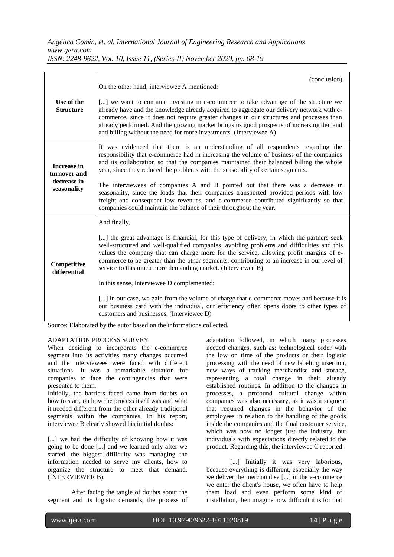| Use of the<br><b>Structure</b>                                   | (conclusion)<br>On the other hand, interviewee A mentioned:<br>[] we want to continue investing in e-commerce to take advantage of the structure we<br>already have and the knowledge already acquired to aggregate our delivery network with e-<br>commerce, since it does not require greater changes in our structures and processes than<br>already performed. And the growing market brings us good prospects of increasing demand                                                                                                                                                                                                                                                                                                                                      |
|------------------------------------------------------------------|------------------------------------------------------------------------------------------------------------------------------------------------------------------------------------------------------------------------------------------------------------------------------------------------------------------------------------------------------------------------------------------------------------------------------------------------------------------------------------------------------------------------------------------------------------------------------------------------------------------------------------------------------------------------------------------------------------------------------------------------------------------------------|
| <b>Increase in</b><br>turnover and<br>decrease in<br>seasonality | and billing without the need for more investments. (Interviewee A)<br>It was evidenced that there is an understanding of all respondents regarding the<br>responsibility that e-commerce had in increasing the volume of business of the companies<br>and its collaboration so that the companies maintained their balanced billing the whole<br>year, since they reduced the problems with the seasonality of certain segments.<br>The interviewees of companies A and B pointed out that there was a decrease in<br>seasonality, since the loads that their companies transported provided periods with low<br>freight and consequent low revenues, and e-commerce contributed significantly so that<br>companies could maintain the balance of their throughout the year. |
| Competitive<br>differential                                      | And finally,<br>[] the great advantage is financial, for this type of delivery, in which the partners seek<br>well-structured and well-qualified companies, avoiding problems and difficulties and this<br>values the company that can charge more for the service, allowing profit margins of e-<br>commerce to be greater than the other segments, contributing to an increase in our level of<br>service to this much more demanding market. (Interviewee B)<br>In this sense, Interviewee D complemented:<br>[] in our case, we gain from the volume of charge that e-commerce moves and because it is<br>our business card with the individual, our efficiency often opens doors to other types of<br>customers and businesses. (Interviewee D)                         |

Source: Elaborated by the autor based on the informations collected.

#### ADAPTATION PROCESS SURVEY

When deciding to incorporate the e-commerce segment into its activities many changes occurred and the interviewees were faced with different situations. It was a remarkable situation for companies to face the contingencies that were presented to them.

Initially, the barriers faced came from doubts on how to start, on how the process itself was and what it needed different from the other already traditional segments within the companies. In his report, interviewee B clearly showed his initial doubts:

[...] we had the difficulty of knowing how it was going to be done [...] and we learned only after we started, the biggest difficulty was managing the information needed to serve my clients, how to organize the structure to meet that demand. (INTERVIEWER B)

After facing the tangle of doubts about the segment and its logistic demands, the process of adaptation followed, in which many processes needed changes, such as: technological order with the low on time of the products or their logistic processing with the need of new labeling insertion, new ways of tracking merchandise and storage, representing a total change in their already established routines. In addition to the changes in processes, a profound cultural change within companies was also necessary, as it was a segment that required changes in the behavior of the employees in relation to the handling of the goods inside the companies and the final customer service, which was now no longer just the industry, but individuals with expectations directly related to the product. Regarding this, the interviewee C reported:

[...] Initially it was very laborious, because everything is different, especially the way we deliver the merchandise [...] in the e-commerce we enter the client's house, we often have to help them load and even perform some kind of installation, then imagine how difficult it is for that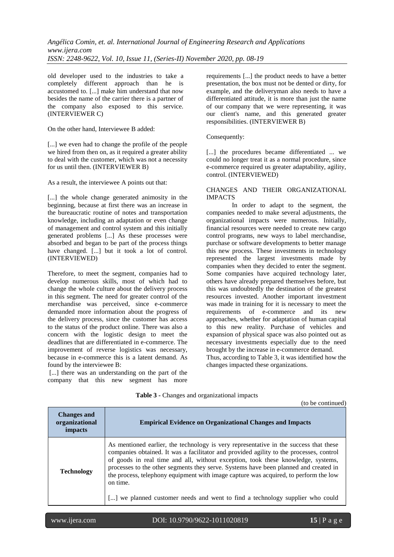old developer used to the industries to take a completely different approach than he is accustomed to. [...] make him understand that now besides the name of the carrier there is a partner of the company also exposed to this service. (INTERVIEWER C)

On the other hand, Interviewee B added:

[...] we even had to change the profile of the people we hired from then on, as it required a greater ability to deal with the customer, which was not a necessity for us until then. (INTERVIEWER B)

As a result, the interviewee A points out that:

[...] the whole change generated animosity in the beginning, because at first there was an increase in the bureaucratic routine of notes and transportation knowledge, including an adaptation or even change of management and control system and this initially generated problems [...] As these processes were absorbed and began to be part of the process things have changed. [...] but it took a lot of control. (INTERVIEWED)

Therefore, to meet the segment, companies had to develop numerous skills, most of which had to change the whole culture about the delivery process in this segment. The need for greater control of the merchandise was perceived, since e-commerce demanded more information about the progress of the delivery process, since the customer has access to the status of the product online. There was also a concern with the logistic design to meet the deadlines that are differentiated in e-commerce. The improvement of reverse logistics was necessary, because in e-commerce this is a latent demand. As found by the interviewee B:

[...] there was an understanding on the part of the company that this new segment has more

requirements [...] the product needs to have a better presentation, the box must not be dented or dirty, for example, and the deliveryman also needs to have a differentiated attitude, it is more than just the name of our company that we were representing, it was our client's name, and this generated greater responsibilities. (INTERVIEWER B)

Consequently:

[...] the procedures became differentiated ... we could no longer treat it as a normal procedure, since e-commerce required us greater adaptability, agility, control. (INTERVIEWED)

#### CHANGES AND THEIR ORGANIZATIONAL IMPACTS

In order to adapt to the segment, the companies needed to make several adjustments, the organizational impacts were numerous. Initially, financial resources were needed to create new cargo control programs, new ways to label merchandise, purchase or software developments to better manage this new process. These investments in technology represented the largest investments made by companies when they decided to enter the segment. Some companies have acquired technology later, others have already prepared themselves before, but this was undoubtedly the destination of the greatest resources invested. Another important investment was made in training for it is necessary to meet the requirements of e-commerce and its new approaches, whether for adaptation of human capital to this new reality. Purchase of vehicles and expansion of physical space was also pointed out as necessary investments especially due to the need brought by the increase in e-commerce demand. Thus, according to Table 3, it was identified how the changes impacted these organizations.

| <b>Changes and</b><br>organizational<br>impacts | <b>Empirical Evidence on Organizational Changes and Impacts</b>                                                                                                                                                                                                                                                                                                                                                                                                                                                                                   |
|-------------------------------------------------|---------------------------------------------------------------------------------------------------------------------------------------------------------------------------------------------------------------------------------------------------------------------------------------------------------------------------------------------------------------------------------------------------------------------------------------------------------------------------------------------------------------------------------------------------|
| <b>Technology</b>                               | As mentioned earlier, the technology is very representative in the success that these<br>companies obtained. It was a facilitator and provided agility to the processes, control<br>of goods in real time and all, without exception, took these knowledge, systems,<br>processes to the other segments they serve. Systems have been planned and created in<br>the process, telephony equipment with image capture was acquired, to perform the low<br>on time.<br>[] we planned customer needs and went to find a technology supplier who could |

**Table 3 -** Changes and organizational impacts

י

www.ijera.com DOI: 10.9790/9622-1011020819 **15** | P a g e

(to be continued)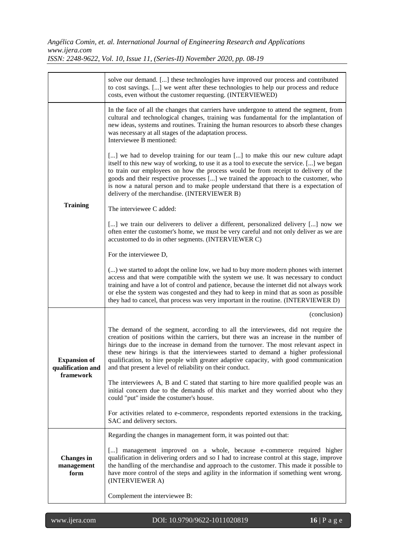## *Angélica Comin, et. al. International Journal of Engineering Research and Applications www.ijera.com*

*ISSN: 2248-9622, Vol. 10, Issue 11, (Series-II) November 2020, pp. 08-19*

|                                                       | solve our demand. [] these technologies have improved our process and contributed<br>to cost savings. [] we went after these technologies to help our process and reduce<br>costs, even without the customer requesting. (INTERVIEWED)                                                                                                                                                                                                                                                                         |
|-------------------------------------------------------|----------------------------------------------------------------------------------------------------------------------------------------------------------------------------------------------------------------------------------------------------------------------------------------------------------------------------------------------------------------------------------------------------------------------------------------------------------------------------------------------------------------|
|                                                       | In the face of all the changes that carriers have undergone to attend the segment, from<br>cultural and technological changes, training was fundamental for the implantation of<br>new ideas, systems and routines. Training the human resources to absorb these changes<br>was necessary at all stages of the adaptation process.<br>Interviewee B mentioned:                                                                                                                                                 |
|                                                       | [] we had to develop training for our team [] to make this our new culture adapt<br>itself to this new way of working, to use it as a tool to execute the service. [] we began<br>to train our employees on how the process would be from receipt to delivery of the<br>goods and their respective processes [] we trained the approach to the customer, who<br>is now a natural person and to make people understand that there is a expectation of<br>delivery of the merchandise. (INTERVIEWER B)           |
| <b>Training</b>                                       | The interviewee C added:                                                                                                                                                                                                                                                                                                                                                                                                                                                                                       |
|                                                       | [] we train our deliverers to deliver a different, personalized delivery [] now we<br>often enter the customer's home, we must be very careful and not only deliver as we are<br>accustomed to do in other segments. (INTERVIEWER C)                                                                                                                                                                                                                                                                           |
|                                                       | For the interviewee D,                                                                                                                                                                                                                                                                                                                                                                                                                                                                                         |
|                                                       | () we started to adopt the online low, we had to buy more modern phones with internet<br>access and that were compatible with the system we use. It was necessary to conduct<br>training and have a lot of control and patience, because the internet did not always work<br>or else the system was congested and they had to keep in mind that as soon as possible<br>they had to cancel, that process was very important in the routine. (INTERVIEWER D)                                                     |
|                                                       | (conclusion)                                                                                                                                                                                                                                                                                                                                                                                                                                                                                                   |
| <b>Expansion of</b><br>qualification and<br>framework | The demand of the segment, according to all the interviewees, did not require the<br>creation of positions within the carriers, but there was an increase in the number of<br>hirings due to the increase in demand from the turnover. The most relevant aspect in<br>these new hirings is that the interviewees started to demand a higher professional<br>qualification, to hire people with greater adaptive capacity, with good communication<br>and that present a level of reliability on their conduct. |
|                                                       | The interviewees A, B and C stated that starting to hire more qualified people was an<br>initial concern due to the demands of this market and they worried about who they<br>could "put" inside the costumer's house.                                                                                                                                                                                                                                                                                         |
|                                                       | For activities related to e-commerce, respondents reported extensions in the tracking,<br>SAC and delivery sectors.                                                                                                                                                                                                                                                                                                                                                                                            |
| <b>Changes</b> in<br>management<br>form               | Regarding the changes in management form, it was pointed out that:                                                                                                                                                                                                                                                                                                                                                                                                                                             |
|                                                       | [] management improved on a whole, because e-commerce required higher<br>qualification in delivering orders and so I had to increase control at this stage, improve<br>the handling of the merchandise and approach to the customer. This made it possible to<br>have more control of the steps and agility in the information if something went wrong.<br>(INTERVIEWER A)                                                                                                                                     |
|                                                       | Complement the interviewee B:                                                                                                                                                                                                                                                                                                                                                                                                                                                                                  |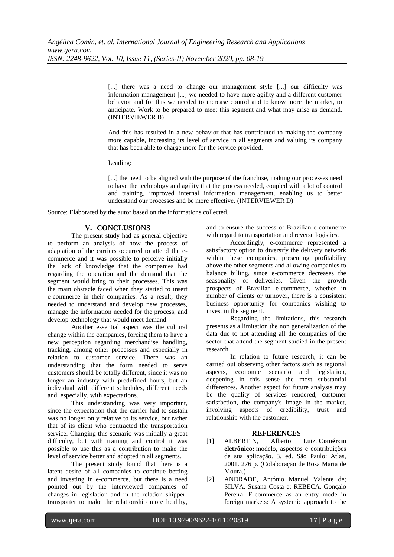| [] there was a need to change our management style [] our difficulty was<br>information management [] we needed to have more agility and a different customer<br>behavior and for this we needed to increase control and to know more the market, to<br>anticipate. Work to be prepared to meet this segment and what may arise as demand.<br>(INTERVIEWER B) |
|---------------------------------------------------------------------------------------------------------------------------------------------------------------------------------------------------------------------------------------------------------------------------------------------------------------------------------------------------------------|
| And this has resulted in a new behavior that has contributed to making the company<br>more capable, increasing its level of service in all segments and valuing its company<br>that has been able to charge more for the service provided.                                                                                                                    |
| Leading:                                                                                                                                                                                                                                                                                                                                                      |
| [] the need to be aligned with the purpose of the franchise, making our processes need<br>to have the technology and agility that the process needed, coupled with a lot of control<br>and training, improved internal information management, enabling us to better<br>understand our processes and be more effective. (INTERVIEWER D)                       |

Source: Elaborated by the autor based on the informations collected.

### **V. CONCLUSIONS**

The present study had as general objective to perform an analysis of how the process of adaptation of the carriers occurred to attend the ecommerce and it was possible to perceive initially the lack of knowledge that the companies had regarding the operation and the demand that the segment would bring to their processes. This was the main obstacle faced when they started to insert e-commerce in their companies. As a result, they needed to understand and develop new processes, manage the information needed for the process, and develop technology that would meet demand.

Another essential aspect was the cultural change within the companies, forcing them to have a new perception regarding merchandise handling, tracking, among other processes and especially in relation to customer service. There was an understanding that the form needed to serve customers should be totally different, since it was no longer an industry with predefined hours, but an individual with different schedules, different needs and, especially, with expectations.

This understanding was very important, since the expectation that the carrier had to sustain was no longer only relative to its service, but rather that of its client who contracted the transportation service. Changing this scenario was initially a great difficulty, but with training and control it was possible to use this as a contribution to make the level of service better and adopted in all segments.

The present study found that there is a latent desire of all companies to continue betting and investing in e-commerce, but there is a need pointed out by the interviewed companies of changes in legislation and in the relation shippertransporter to make the relationship more healthy,

and to ensure the success of Brazilian e-commerce with regard to transportation and reverse logistics.

Accordingly, e-commerce represented a satisfactory option to diversify the delivery network within these companies, presenting profitability above the other segments and allowing companies to balance billing, since e-commerce decreases the seasonality of deliveries. Given the growth prospects of Brazilian e-commerce, whether in number of clients or turnover, there is a consistent business opportunity for companies wishing to invest in the segment.

Regarding the limitations, this research presents as a limitation the non generalization of the data due to not attending all the companies of the sector that attend the segment studied in the present research.

In relation to future research, it can be carried out observing other factors such as regional aspects, economic scenario and legislation, deepening in this sense the most substantial differences. Another aspect for future analysis may be the quality of services rendered, customer satisfaction, the company's image in the market, involving aspects of credibility, trust and relationship with the customer.

- **REFERENCES**<br>ALBERTIN, Alberto [1]. ALBERTIN, Alberto Luiz. **Comércio eletrônico:** modelo, aspectos e contribuições de sua aplicação. 3. ed. São Paulo: Atlas, 2001. 276 p. (Colaboração de Rosa Maria de Moura.)
- [2]. ANDRADE, António Manuel Valente de; SILVA, Susana Costa e; REBECA, Gonçalo Pereira. E-commerce as an entry mode in foreign markets: A systemic approach to the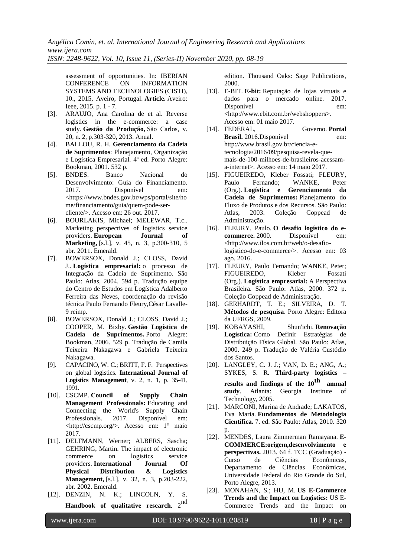assessment of opportunities. In: IBERIAN ON INFORMATION SYSTEMS AND TECHNOLOGIES (CISTI), 10., 2015, Aveiro, Portugal. **Article.** Aveiro: Ieee, 2015. p. 1 - 7.

- [3]. ARAUJO, Ana Carolina de et al. Reverse logistics in the e-commerce: a case study. **Gestão da Produção,** São Carlos, v. 20, n. 2, p.303-320, 2013. Anual.
- [4]. BALLOU, R. H*.* **Gerenciamento da Cadeia de Suprimentos**: Planejamento, Organização e Logística Empresarial*.* 4ª ed. Porto Alegre: Bookman, 2001. 532 p.
- [5]. BNDES. Banco Nacional do Desenvolvimento: Guia do Financiamento. 2017. Disponível em: <https://www.bndes.gov.br/wps/portal/site/ho me/financiamento/guia/quem-pode-sercliente/>. Acesso em: 26 out. 2017.
- [6]. BOURLAKIS, Michael; MELEWAR, T.c.. Marketing perspectives of logistics service providers. **European Journal of Marketing,** [s.l.], v. 45, n. 3, p.300-310, 5 abr. 2011. Emerald.
- [7]. BOWERSOX, Donald J.; CLOSS, David J.. **Logística empresarial:** o processo de Integração da Cadeia de Suprimento. São Paulo: Atlas, 2004. 594 p. Tradução equipe do Centro de Estudos em Logística Adalberto Ferreira das Neves, coordenação da revisão técnica Paulo Fernando Fleury,César Lavalle-9 reimp.
- [8]. BOWERSOX, Donald J.; CLOSS, David J.; COOPER, M. Bixby. **Gestão Logística de Cadeia de Suprimentos.** Porto Alegre: Bookman, 2006. 529 p. Tradução de Camila Teixeira Nakagawa e Gabriela Teixeira Nakagawa.
- [9]. CAPACINO, W. C.; BRITT, F. F. Perspectives on global logistics. **International Journal of Logistics Management**, v. 2, n. 1, p. 35-41, 1991.
- [10]. CSCMP. **Council of Supply Chain Management Professionals:** Educating and Connecting the World's Supply Chain Professionals. 2017. Disponível em: <http://cscmp.org/>. Acesso em: 1° maio 2017.
- [11]. DELFMANN, Werner; ALBERS, Sascha; GEHRING, Martin. The impact of electronic commerce on logistics service providers. **International Journal Of Physical Distribution & Logistics Management,** [s.l.], v. 32, n. 3, p.203-222, abr. 2002. Emerald.
- [12]. DENZIN, N. K.; LINCOLN, Y. S. **Handbook of qualitative research**. 2nd

edition. Thousand Oaks: Sage Publications, 2000.

- [13]. E-BIT. **E-bit:** Reputação de lojas virtuais e dados para o mercado online. 2017. Disponível em: <http://www.ebit.com.br/webshoppers>. Acesso em: 01 maio 2017.
- [14]. FEDERAL, Governo. **Portal Brasil.** 2016.Disponível em: http://www.brasil.gov.br/ciencia-etecnologia/2016/09/pesquisa-revela-quemais-de-100-milhoes-de-brasileiros-acessama-internet>. Acesso em: 14 maio 2017.
- [15]. FIGUEIREDO, Kleber Fossati; FLEURY, Paulo Fernando; WANKE, Peter (Org.). **Logística e Gerenciamento da Cadeia de Suprimentos:** Planejamento do Fluxo de Produtos e dos Recursos. São Paulo: Atlas, 2003. Coleção Coppead de Administração.
- [16]. FLEURY, Paulo. **O desafio logístico do ecommerce.** 2000. Disponível em: <http://www.ilos.com.br/web/o-desafiologistico-do-e-commerce/>. Acesso em: 03 ago. 2016.
- [17]. FLEURY, Paulo Fernando; WANKE, Peter; FIGUEIREDO, Kleber Fossati (Org.). **Logística empresarial:** A Perspectiva Brasileira. São Paulo: Atlas, 2000. 372 p. Coleção Coppead de Administração.
- [18]. GERHARDT, T. E.; SILVEIRA, D. T. **Métodos de pesquisa**. Porto Alegre: Editora da UFRGS, 2009.
- [19]. KOBAYASHI, Shun'ichi. **Renovação Logística:** Como Definir Estratégias de Distribuição Física Global. São Paulo: Atlas, 2000. 249 p. Tradução de Valéria Custódio dos Santos.
- [20]. LANGLEY, C. J. J.; VAN, D. E.; ANG, A.; SYKES, S. R. **Third-party logistics – results and findings of the 10th annual study**. Atlanta: Georgia Institute of Technology, 2005.
- [21]. MARCONI, Marina de Andrade; LAKATOS, Eva Maria. **Fundamentos de Metodologia Científica.** 7. ed. São Paulo: Atlas, 2010. 320 p.
- [22]. MENDES, Laura Zimmerman Ramayana. **E-COMMERCE:origem,desenvolvimento e perspectivas.** 2013. 64 f. TCC (Graduação) - Curso de Ciências Econômicas, Departamento de Ciências Econômicas, Universidade Federal do Rio Grande do Sul, Porto Alegre, 2013.
- [23]. MONAHAN, S.; HU, M. **US E-Commerce Trends and the Impact on Logistics:** US E-Commerce Trends and the Impact on